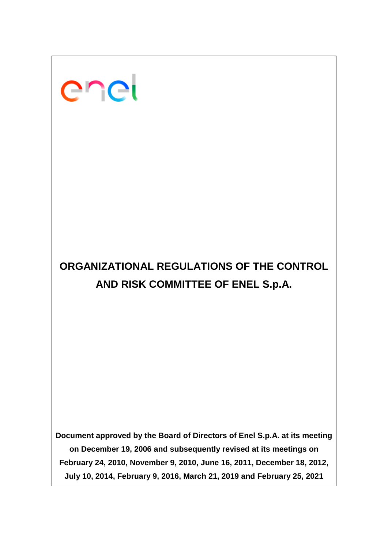# enel

# **ORGANIZATIONAL REGULATIONS OF THE CONTROL AND RISK COMMITTEE OF ENEL S.p.A.**

**Document approved by the Board of Directors of Enel S.p.A. at its meeting on December 19, 2006 and subsequently revised at its meetings on February 24, 2010, November 9, 2010, June 16, 2011, December 18, 2012, July 10, 2014, February 9, 2016, March 21, 2019 and February 25, 2021**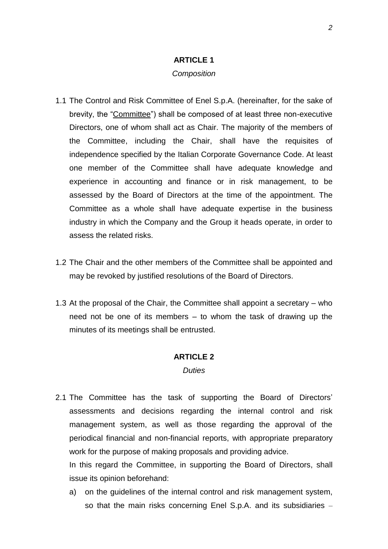# **ARTICLE 1**

#### *Composition*

- 1.1 The Control and Risk Committee of Enel S.p.A. (hereinafter, for the sake of brevity, the "Committee") shall be composed of at least three non-executive Directors, one of whom shall act as Chair. The majority of the members of the Committee, including the Chair, shall have the requisites of independence specified by the Italian Corporate Governance Code. At least one member of the Committee shall have adequate knowledge and experience in accounting and finance or in risk management, to be assessed by the Board of Directors at the time of the appointment. The Committee as a whole shall have adequate expertise in the business industry in which the Company and the Group it heads operate, in order to assess the related risks.
- 1.2 The Chair and the other members of the Committee shall be appointed and may be revoked by justified resolutions of the Board of Directors.
- 1.3 At the proposal of the Chair, the Committee shall appoint a secretary who need not be one of its members – to whom the task of drawing up the minutes of its meetings shall be entrusted.

#### **ARTICLE 2**

*Duties*

2.1 The Committee has the task of supporting the Board of Directors' assessments and decisions regarding the internal control and risk management system, as well as those regarding the approval of the periodical financial and non-financial reports, with appropriate preparatory work for the purpose of making proposals and providing advice.

In this regard the Committee, in supporting the Board of Directors, shall issue its opinion beforehand:

a) on the guidelines of the internal control and risk management system, so that the main risks concerning Enel S.p.A. and its subsidiaries –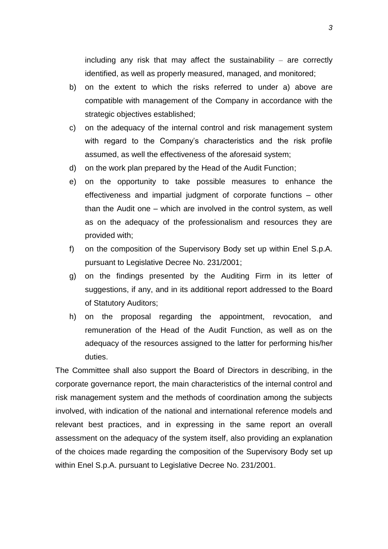including any risk that may affect the sustainability  $-$  are correctly identified, as well as properly measured, managed, and monitored;

- b) on the extent to which the risks referred to under a) above are compatible with management of the Company in accordance with the strategic objectives established;
- c) on the adequacy of the internal control and risk management system with regard to the Company's characteristics and the risk profile assumed, as well the effectiveness of the aforesaid system;
- d) on the work plan prepared by the Head of the Audit Function;
- e) on the opportunity to take possible measures to enhance the effectiveness and impartial judgment of corporate functions – other than the Audit one – which are involved in the control system, as well as on the adequacy of the professionalism and resources they are provided with;
- f) on the composition of the Supervisory Body set up within Enel S.p.A. pursuant to Legislative Decree No. 231/2001;
- g) on the findings presented by the Auditing Firm in its letter of suggestions, if any, and in its additional report addressed to the Board of Statutory Auditors;
- h) on the proposal regarding the appointment, revocation, and remuneration of the Head of the Audit Function, as well as on the adequacy of the resources assigned to the latter for performing his/her duties.

The Committee shall also support the Board of Directors in describing, in the corporate governance report, the main characteristics of the internal control and risk management system and the methods of coordination among the subjects involved, with indication of the national and international reference models and relevant best practices, and in expressing in the same report an overall assessment on the adequacy of the system itself, also providing an explanation of the choices made regarding the composition of the Supervisory Body set up within Enel S.p.A. pursuant to Legislative Decree No. 231/2001.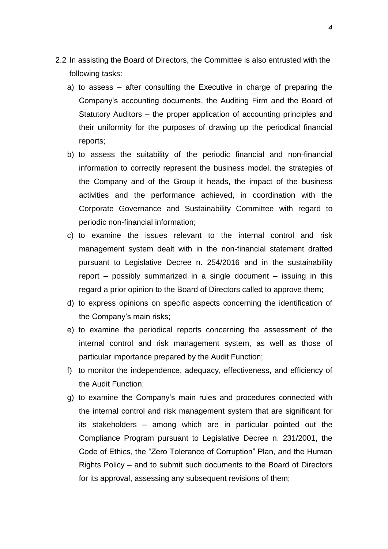- 2.2 In assisting the Board of Directors, the Committee is also entrusted with the following tasks:
	- a) to assess after consulting the Executive in charge of preparing the Company's accounting documents, the Auditing Firm and the Board of Statutory Auditors – the proper application of accounting principles and their uniformity for the purposes of drawing up the periodical financial reports;
	- b) to assess the suitability of the periodic financial and non-financial information to correctly represent the business model, the strategies of the Company and of the Group it heads, the impact of the business activities and the performance achieved, in coordination with the Corporate Governance and Sustainability Committee with regard to periodic non-financial information;
	- c) to examine the issues relevant to the internal control and risk management system dealt with in the non-financial statement drafted pursuant to Legislative Decree n. 254/2016 and in the sustainability report – possibly summarized in a single document – issuing in this regard a prior opinion to the Board of Directors called to approve them;
	- d) to express opinions on specific aspects concerning the identification of the Company's main risks;
	- e) to examine the periodical reports concerning the assessment of the internal control and risk management system, as well as those of particular importance prepared by the Audit Function;
	- f) to monitor the independence, adequacy, effectiveness, and efficiency of the Audit Function;
	- g) to examine the Company's main rules and procedures connected with the internal control and risk management system that are significant for its stakeholders – among which are in particular pointed out the Compliance Program pursuant to Legislative Decree n. 231/2001, the Code of Ethics, the "Zero Tolerance of Corruption" Plan, and the Human Rights Policy – and to submit such documents to the Board of Directors for its approval, assessing any subsequent revisions of them;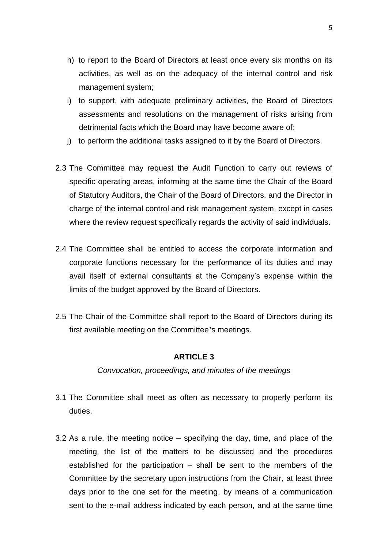- h) to report to the Board of Directors at least once every six months on its activities, as well as on the adequacy of the internal control and risk management system;
- i) to support, with adequate preliminary activities, the Board of Directors assessments and resolutions on the management of risks arising from detrimental facts which the Board may have become aware of;
- j) to perform the additional tasks assigned to it by the Board of Directors.
- 2.3 The Committee may request the Audit Function to carry out reviews of specific operating areas, informing at the same time the Chair of the Board of Statutory Auditors, the Chair of the Board of Directors, and the Director in charge of the internal control and risk management system, except in cases where the review request specifically regards the activity of said individuals.
- 2.4 The Committee shall be entitled to access the corporate information and corporate functions necessary for the performance of its duties and may avail itself of external consultants at the Company's expense within the limits of the budget approved by the Board of Directors.
- 2.5 The Chair of the Committee shall report to the Board of Directors during its first available meeting on the Committee's meetings.

# **ARTICLE 3**

*Convocation, proceedings, and minutes of the meetings*

- 3.1 The Committee shall meet as often as necessary to properly perform its duties.
- 3.2 As a rule, the meeting notice specifying the day, time, and place of the meeting, the list of the matters to be discussed and the procedures established for the participation – shall be sent to the members of the Committee by the secretary upon instructions from the Chair, at least three days prior to the one set for the meeting, by means of a communication sent to the e-mail address indicated by each person, and at the same time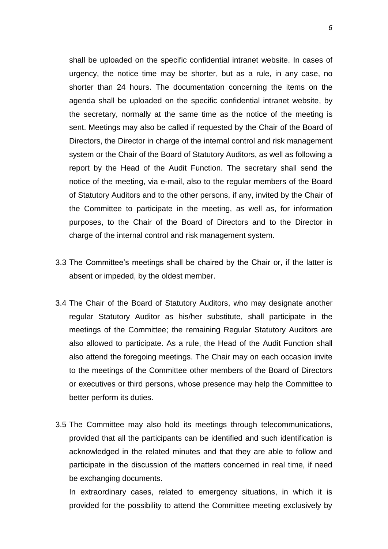shall be uploaded on the specific confidential intranet website. In cases of urgency, the notice time may be shorter, but as a rule, in any case, no shorter than 24 hours. The documentation concerning the items on the agenda shall be uploaded on the specific confidential intranet website, by the secretary, normally at the same time as the notice of the meeting is sent. Meetings may also be called if requested by the Chair of the Board of Directors, the Director in charge of the internal control and risk management system or the Chair of the Board of Statutory Auditors, as well as following a report by the Head of the Audit Function. The secretary shall send the notice of the meeting, via e-mail, also to the regular members of the Board of Statutory Auditors and to the other persons, if any, invited by the Chair of the Committee to participate in the meeting, as well as, for information purposes, to the Chair of the Board of Directors and to the Director in charge of the internal control and risk management system.

- 3.3 The Committee's meetings shall be chaired by the Chair or, if the latter is absent or impeded, by the oldest member.
- 3.4 The Chair of the Board of Statutory Auditors, who may designate another regular Statutory Auditor as his/her substitute, shall participate in the meetings of the Committee; the remaining Regular Statutory Auditors are also allowed to participate. As a rule, the Head of the Audit Function shall also attend the foregoing meetings. The Chair may on each occasion invite to the meetings of the Committee other members of the Board of Directors or executives or third persons, whose presence may help the Committee to better perform its duties.
- 3.5 The Committee may also hold its meetings through telecommunications, provided that all the participants can be identified and such identification is acknowledged in the related minutes and that they are able to follow and participate in the discussion of the matters concerned in real time, if need be exchanging documents.

In extraordinary cases, related to emergency situations, in which it is provided for the possibility to attend the Committee meeting exclusively by